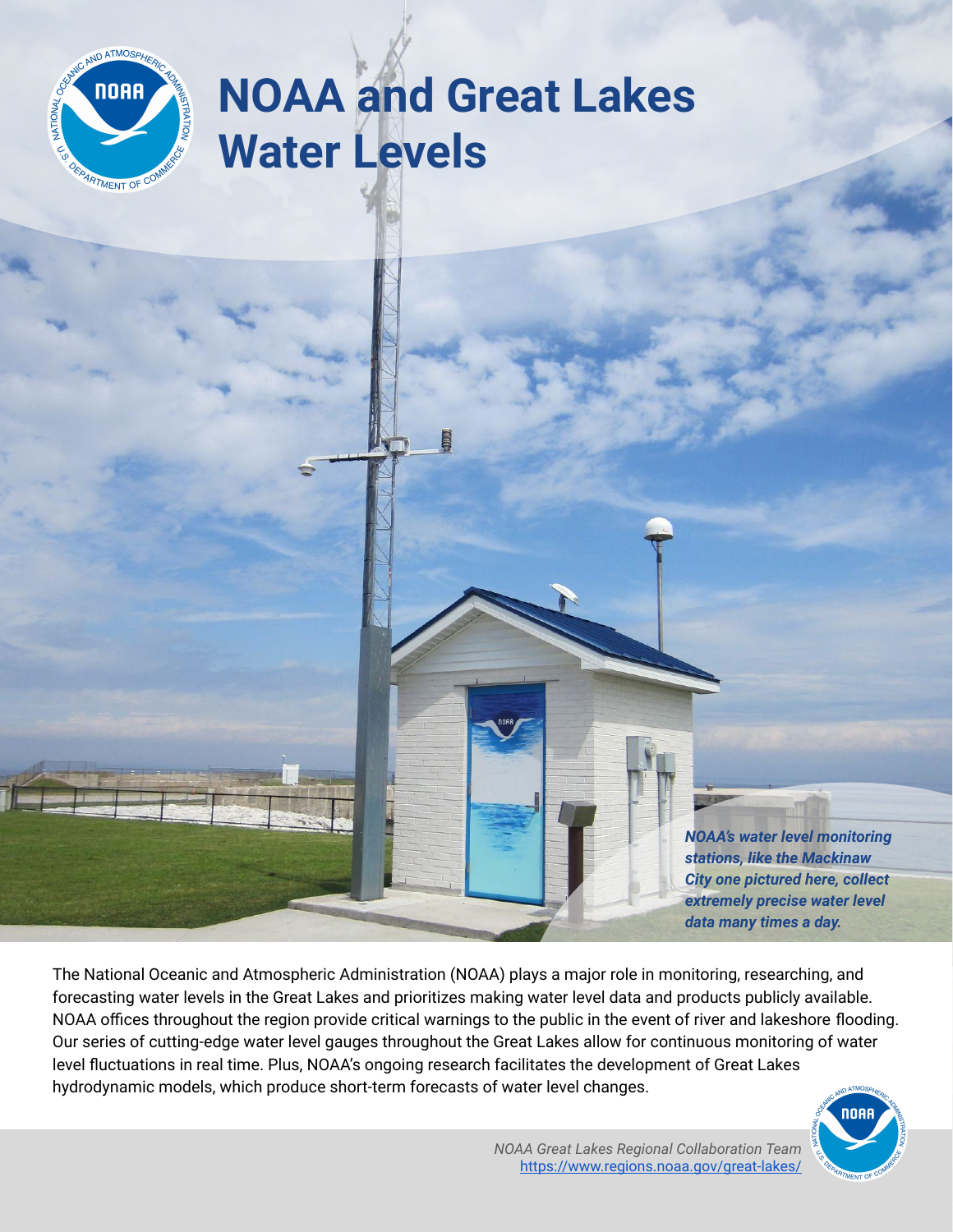

## **NOAA and Great Lakes Water Levels**

*NOAA's water level monitoring stations, like the Mackinaw City one pictured here, collect extremely precise water level data many times a day.*

The National Oceanic and Atmospheric Administration (NOAA) plays a major role in monitoring, researching, and forecasting water levels in the Great Lakes and prioritizes making water level data and products publicly available. NOAA offices throughout the region provide critical warnings to the public in the event of river and lakeshore flooding. Our series of cutting-edge water level gauges throughout the Great Lakes allow for continuous monitoring of water level fluctuations in real time. Plus, NOAA's ongoing research facilitates the development of Great Lakes hydrodynamic models, which produce short-term forecasts of water level changes.